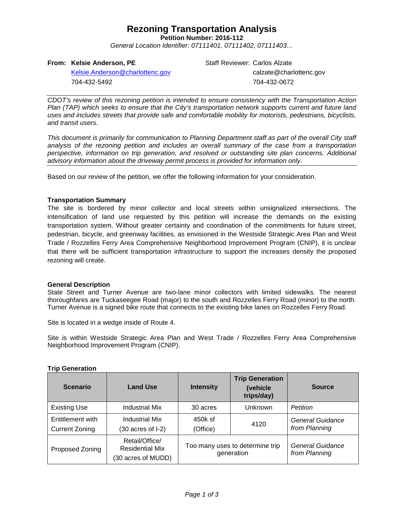## **Rezoning Transportation Analysis**

**Petition Number: 2016-112**

*General Location Identifier: 07111401, 07111402, 07111403…*

### **From: Kelsie Anderson, PE**

704-432-5492

[Kelsie.Anderson@charlottenc.gov](mailto:Kelsie.Anderson@charlottenc.gov)

Staff Reviewer: Carlos Alzate calzate@charlottenc.gov 704-432-0672

*CDOT's review of this rezoning petition is intended to ensure consistency with the Transportation Action Plan (TAP) which seeks to ensure that the City's transportation network supports current and future land uses and includes streets that provide safe and comfortable mobility for motorists, pedestrians, bicyclists, and transit users.*

*This document is primarily for communication to Planning Department staff as part of the overall City staff analysis of the rezoning petition and includes an overall summary of the case from a transportation perspective, information on trip generation, and resolved or outstanding site plan concerns. Additional advisory information about the driveway permit process is provided for information only.*

Based on our review of the petition, we offer the following information for your consideration.

### **Transportation Summary**

The site is bordered by minor collector and local streets within unsignalized intersections. The intensification of land use requested by this petition will increase the demands on the existing transportation system. Without greater certainty and coordination of the commitments for future street, pedestrian, bicycle, and greenway facilities, as envisioned in the Westside Strategic Area Plan and West Trade / Rozzelles Ferry Area Comprehensive Neighborhood Improvement Program (CNIP), it is unclear that there will be sufficient transportation infrastructure to support the increases density the proposed rezoning will create.

### **General Description**

State Street and Turner Avenue are two-lane minor collectors with limited sidewalks. The nearest thoroughfares are Tuckaseegee Road (major) to the south and Rozzelles Ferry Road (minor) to the north. Turner Avenue is a signed bike route that connects to the existing bike lanes on Rozzelles Ferry Road.

Site is located in a wedge inside of Route 4.

Site is within Westside Strategic Area Plan and West Trade / Rozzelles Ferry Area Comprehensive Neighborhood Improvement Program (CNIP).

| <b>Scenario</b>                           | <b>Land Use</b>                                                | <b>Intensity</b>                              | <b>Trip Generation</b><br>(vehicle<br>trips/day) | <b>Source</b>                     |
|-------------------------------------------|----------------------------------------------------------------|-----------------------------------------------|--------------------------------------------------|-----------------------------------|
| <b>Existing Use</b>                       | <b>Industrial Mix</b>                                          | 30 acres                                      | <b>Unknown</b>                                   | <b>Petition</b>                   |
| Entitlement with<br><b>Current Zoning</b> | Industrial Mix<br>$(30 \text{ acres of } I-2)$                 | 450k sf<br>(Office)                           | 4120                                             | General Guidance<br>from Planning |
| Proposed Zoning                           | Retail/Office/<br><b>Residential Mix</b><br>(30 acres of MUDD) | Too many uses to determine trip<br>generation |                                                  | General Guidance<br>from Planning |

#### **Trip Generation**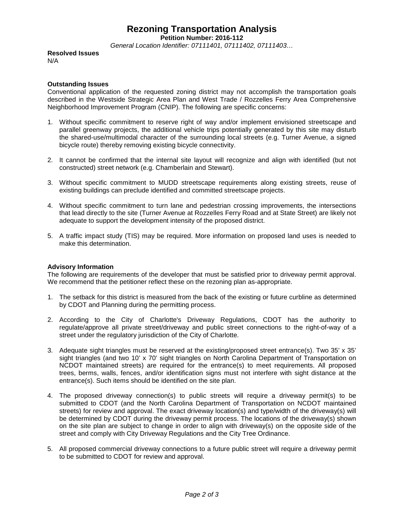### **Rezoning Transportation Analysis**

**Petition Number: 2016-112**

*General Location Identifier: 07111401, 07111402, 07111403…*

**Resolved Issues** N/A

### **Outstanding Issues**

Conventional application of the requested zoning district may not accomplish the transportation goals described in the Westside Strategic Area Plan and West Trade / Rozzelles Ferry Area Comprehensive Neighborhood Improvement Program (CNIP). The following are specific concerns:

- 1. Without specific commitment to reserve right of way and/or implement envisioned streetscape and parallel greenway projects, the additional vehicle trips potentially generated by this site may disturb the shared-use/multimodal character of the surrounding local streets (e.g. Turner Avenue, a signed bicycle route) thereby removing existing bicycle connectivity.
- 2. It cannot be confirmed that the internal site layout will recognize and align with identified (but not constructed) street network (e.g. Chamberlain and Stewart).
- 3. Without specific commitment to MUDD streetscape requirements along existing streets, reuse of existing buildings can preclude identified and committed streetscape projects.
- 4. Without specific commitment to turn lane and pedestrian crossing improvements, the intersections that lead directly to the site (Turner Avenue at Rozzelles Ferry Road and at State Street) are likely not adequate to support the development intensity of the proposed district.
- 5. A traffic impact study (TIS) may be required. More information on proposed land uses is needed to make this determination.

### **Advisory Information**

The following are requirements of the developer that must be satisfied prior to driveway permit approval. We recommend that the petitioner reflect these on the rezoning plan as-appropriate.

- 1. The setback for this district is measured from the back of the existing or future curbline as determined by CDOT and Planning during the permitting process.
- 2. According to the City of Charlotte's Driveway Regulations, CDOT has the authority to regulate/approve all private street/driveway and public street connections to the right-of-way of a street under the regulatory jurisdiction of the City of Charlotte.
- 3. Adequate sight triangles must be reserved at the existing/proposed street entrance(s). Two 35' x 35' sight triangles (and two 10' x 70' sight triangles on North Carolina Department of Transportation on NCDOT maintained streets) are required for the entrance(s) to meet requirements. All proposed trees, berms, walls, fences, and/or identification signs must not interfere with sight distance at the entrance(s). Such items should be identified on the site plan.
- 4. The proposed driveway connection(s) to public streets will require a driveway permit(s) to be submitted to CDOT (and the North Carolina Department of Transportation on NCDOT maintained streets) for review and approval. The exact driveway location(s) and type/width of the driveway(s) will be determined by CDOT during the driveway permit process. The locations of the driveway(s) shown on the site plan are subject to change in order to align with driveway(s) on the opposite side of the street and comply with City Driveway Regulations and the City Tree Ordinance.
- 5. All proposed commercial driveway connections to a future public street will require a driveway permit to be submitted to CDOT for review and approval.